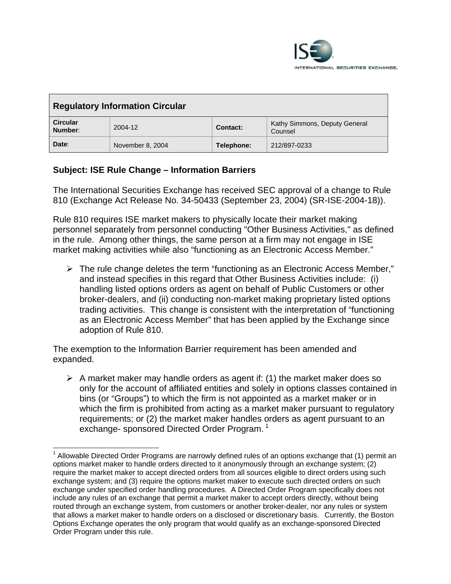

| <b>Regulatory Information Circular</b> |                  |                 |                                          |
|----------------------------------------|------------------|-----------------|------------------------------------------|
| <b>Circular</b><br>Number:             | $2004 - 12$      | <b>Contact:</b> | Kathy Simmons, Deputy General<br>Counsel |
| Date:                                  | November 8, 2004 | Telephone:      | 212/897-0233                             |

## **Subject: ISE Rule Change – Information Barriers**

The International Securities Exchange has received SEC approval of a change to Rule 810 (Exchange Act Release No. 34-50433 (September 23, 2004) (SR-ISE-2004-18)).

Rule 810 requires ISE market makers to physically locate their market making personnel separately from personnel conducting "Other Business Activities," as defined in the rule. Among other things, the same person at a firm may not engage in ISE market making activities while also "functioning as an Electronic Access Member."

 $\triangleright$  The rule change deletes the term "functioning as an Electronic Access Member," and instead specifies in this regard that Other Business Activities include: (i) handling listed options orders as agent on behalf of Public Customers or other broker-dealers, and (ii) conducting non-market making proprietary listed options trading activities. This change is consistent with the interpretation of "functioning as an Electronic Access Member" that has been applied by the Exchange since adoption of Rule 810.

The exemption to the Information Barrier requirement has been amended and expanded.

 $\triangleright$  A market maker may handle orders as agent if: (1) the market maker does so only for the account of affiliated entities and solely in options classes contained in bins (or "Groups") to which the firm is not appointed as a market maker or in which the firm is prohibited from acting as a market maker pursuant to regulatory requirements; or (2) the market maker handles orders as agent pursuant to an exchange- sponsored Directed Order Program.<sup>[1](#page-0-0)</sup>

<span id="page-0-0"></span> $\overline{a}$  $1$  Allowable Directed Order Programs are narrowly defined rules of an options exchange that (1) permit an options market maker to handle orders directed to it anonymously through an exchange system; (2) require the market maker to accept directed orders from all sources eligible to direct orders using such exchange system; and (3) require the options market maker to execute such directed orders on such exchange under specified order handling procedures. A Directed Order Program specifically does not include any rules of an exchange that permit a market maker to accept orders directly, without being routed through an exchange system, from customers or another broker-dealer, nor any rules or system that allows a market maker to handle orders on a disclosed or discretionary basis. Currently, the Boston Options Exchange operates the only program that would qualify as an exchange-sponsored Directed Order Program under this rule.